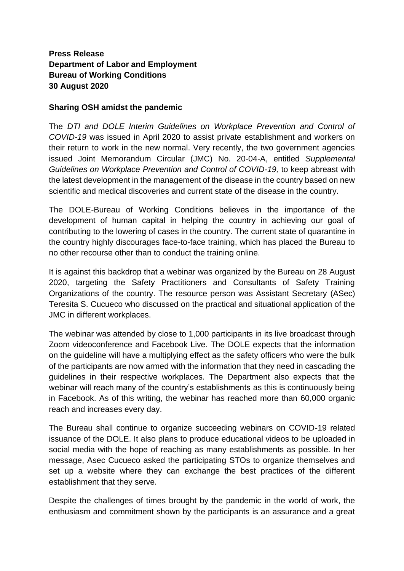## **Press Release Department of Labor and Employment Bureau of Working Conditions 30 August 2020**

## **Sharing OSH amidst the pandemic**

The *DTI and DOLE Interim Guidelines on Workplace Prevention and Control of COVID-19* was issued in April 2020 to assist private establishment and workers on their return to work in the new normal. Very recently, the two government agencies issued Joint Memorandum Circular (JMC) No. 20-04-A, entitled *Supplemental Guidelines on Workplace Prevention and Control of COVID-19,* to keep abreast with the latest development in the management of the disease in the country based on new scientific and medical discoveries and current state of the disease in the country.

The DOLE-Bureau of Working Conditions believes in the importance of the development of human capital in helping the country in achieving our goal of contributing to the lowering of cases in the country. The current state of quarantine in the country highly discourages face-to-face training, which has placed the Bureau to no other recourse other than to conduct the training online.

It is against this backdrop that a webinar was organized by the Bureau on 28 August 2020, targeting the Safety Practitioners and Consultants of Safety Training Organizations of the country. The resource person was Assistant Secretary (ASec) Teresita S. Cucueco who discussed on the practical and situational application of the JMC in different workplaces.

The webinar was attended by close to 1,000 participants in its live broadcast through Zoom videoconference and Facebook Live. The DOLE expects that the information on the guideline will have a multiplying effect as the safety officers who were the bulk of the participants are now armed with the information that they need in cascading the guidelines in their respective workplaces. The Department also expects that the webinar will reach many of the country's establishments as this is continuously being in Facebook. As of this writing, the webinar has reached more than 60,000 organic reach and increases every day.

The Bureau shall continue to organize succeeding webinars on COVID-19 related issuance of the DOLE. It also plans to produce educational videos to be uploaded in social media with the hope of reaching as many establishments as possible. In her message, Asec Cucueco asked the participating STOs to organize themselves and set up a website where they can exchange the best practices of the different establishment that they serve.

Despite the challenges of times brought by the pandemic in the world of work, the enthusiasm and commitment shown by the participants is an assurance and a great